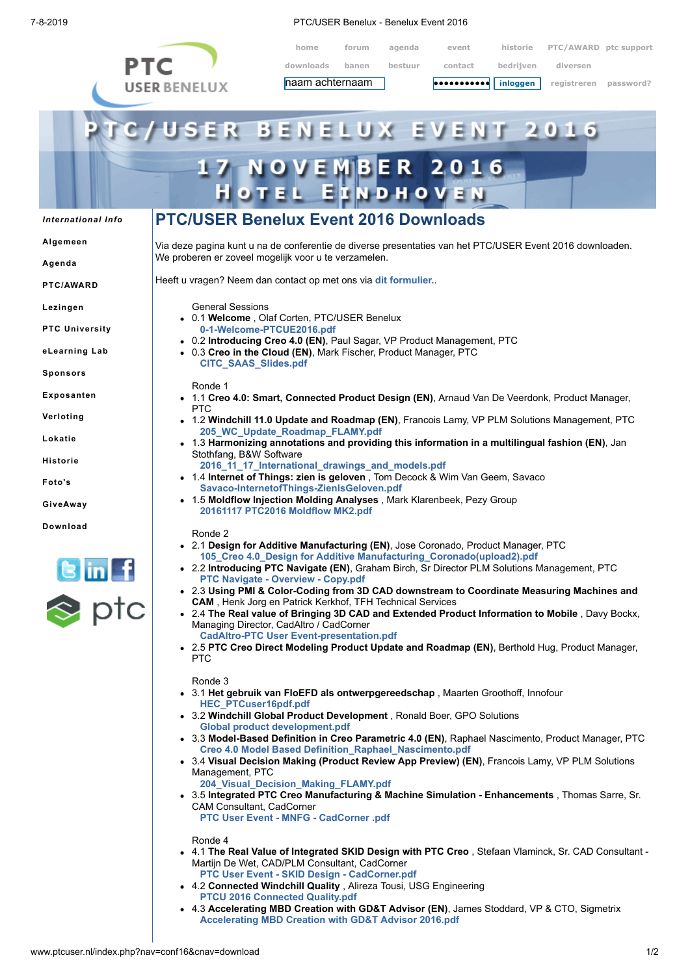

7-8-2019 PTC/USER Benelux - Benelux Event 2016

| home            | forum | agenda  | event                                                                                          | historie  | PTC/AWARD ptc support |           |
|-----------------|-------|---------|------------------------------------------------------------------------------------------------|-----------|-----------------------|-----------|
| downloads       | banen | bestuur | contact                                                                                        | bedrijven | diversen              |           |
| naam achternaam |       |         | $  \bullet \bullet \bullet \bullet \bullet \bullet \bullet \bullet \bullet \bullet  $ inloggen |           | registreren           | password? |